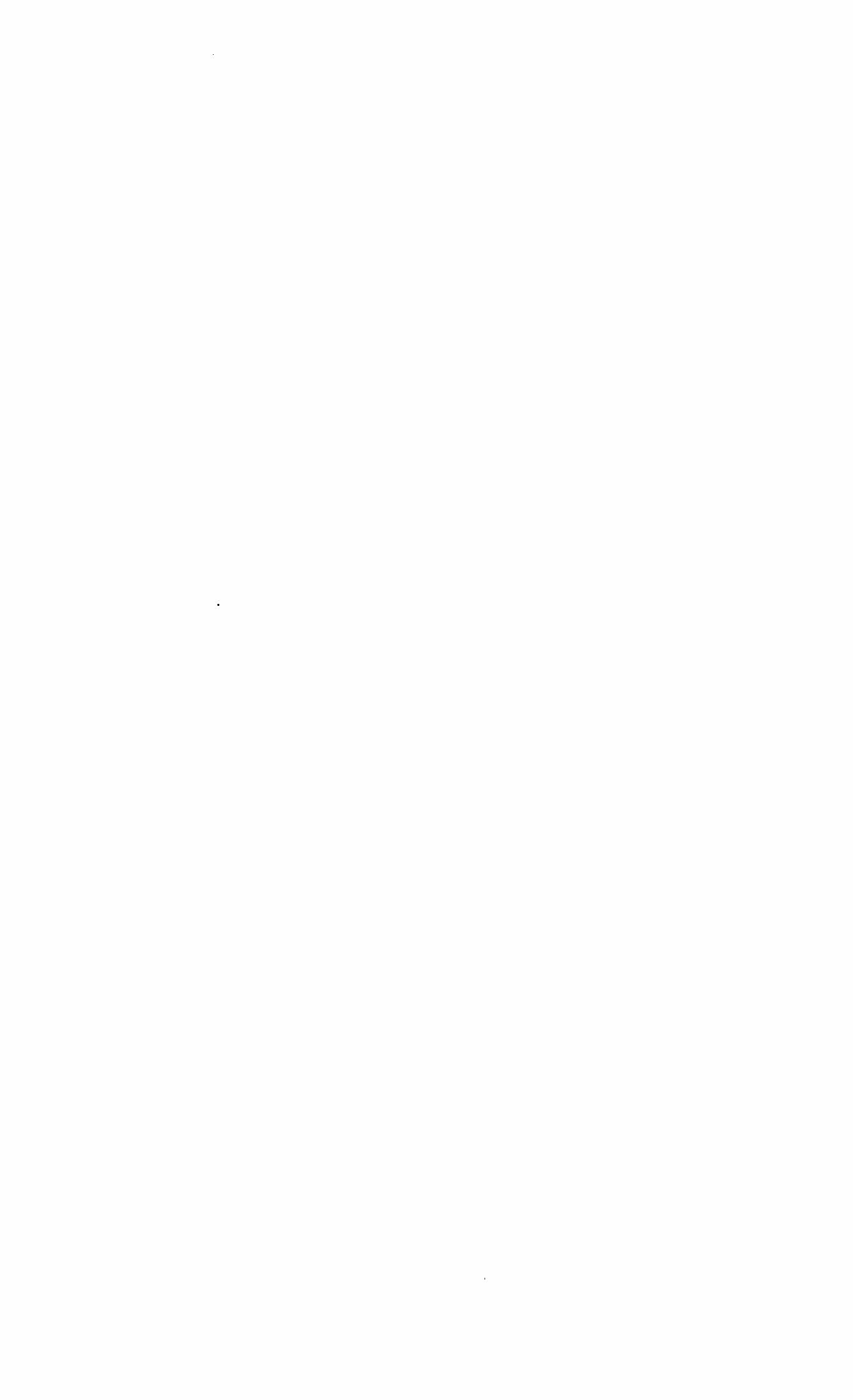$\mathcal{L}^{\mathcal{L}}(\mathcal{L}^{\mathcal{L}})$  . The contract of  $\mathcal{L}^{\mathcal{L}}(\mathcal{L}^{\mathcal{L}})$  $\label{eq:2.1} \mathcal{L}(\mathcal{L}^{\text{max}}_{\mathcal{L}}(\mathcal{L}^{\text{max}}_{\mathcal{L}})) \leq \mathcal{L}(\mathcal{L}^{\text{max}}_{\mathcal{L}}(\mathcal{L}^{\text{max}}_{\mathcal{L}}))$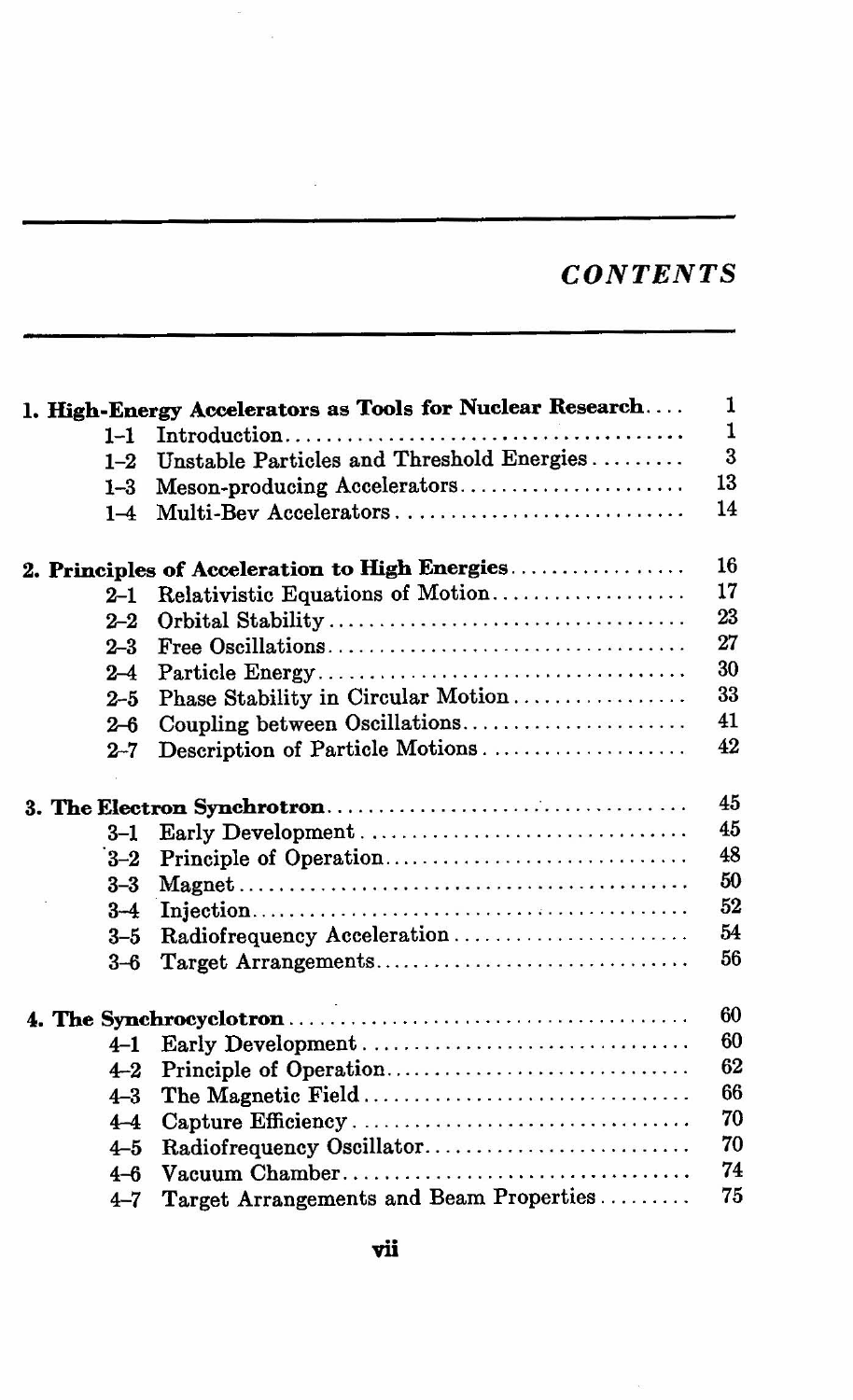## CONTENTS

|         | 1. High-Energy Accelerators as Tools for Nuclear Research | 1  |
|---------|-----------------------------------------------------------|----|
| $1 - 1$ |                                                           | 1  |
| $1 - 2$ | Unstable Particles and Threshold Energies                 | 3  |
| $1 - 3$ | Meson-producing Accelerators                              | 13 |
| $1 - 4$ | Multi-Bev Accelerators                                    | 14 |
|         | 2. Principles of Acceleration to High Energies            | 16 |
| $2 - 1$ | Relativistic Equations of Motion                          | 17 |
| $2 - 2$ |                                                           | 23 |
| $2 - 3$ | Free Oscillations                                         | 27 |
| $2 - 4$ |                                                           | 30 |
| $2 - 5$ | Phase Stability in Circular Motion                        | 33 |
| $2 - 6$ | Coupling between Oscillations                             | 41 |
| $2 - 7$ | Description of Particle Motions                           | 42 |
|         |                                                           |    |
|         |                                                           | 45 |
| $3 - 1$ | Early Development                                         | 45 |
| $3 - 2$ | Principle of Operation                                    | 48 |
| $3 - 3$ |                                                           | 50 |
| $3 - 4$ |                                                           | 52 |
| $3 - 5$ | Radiofrequency Acceleration                               | 54 |
| 3–6     | Target Arrangements                                       | 56 |
|         |                                                           | 60 |
| $4 - 1$ | Early Development                                         | 60 |
| $4 - 2$ |                                                           | 62 |
| $4 - 3$ | The Magnetic Field                                        | 66 |
| $4-4$   | Capture Efficiency                                        | 70 |
| $4 - 5$ | Radiofrequency Oscillator                                 | 70 |
| $4 - 6$ | Vacuum Chamber                                            | 74 |
| $4 - 7$ | Target Arrangements and Beam Properties                   | 75 |